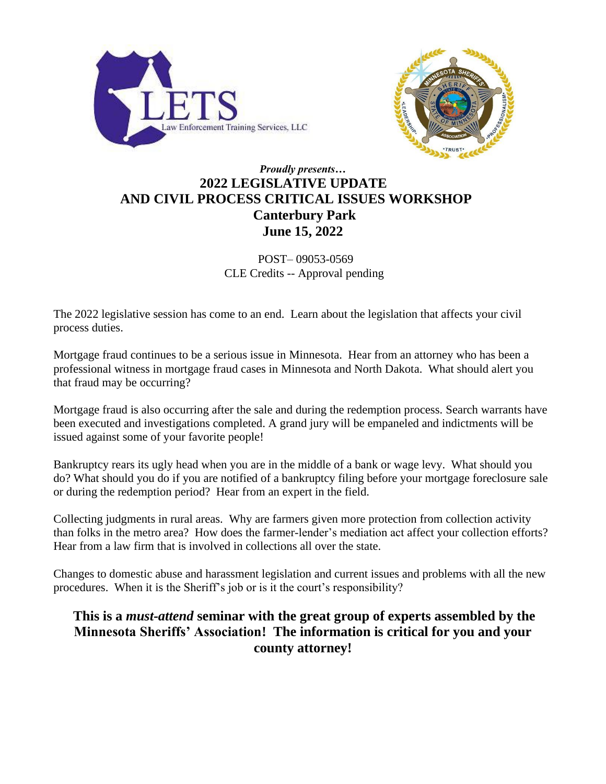



### *Proudly presents…*  **2022 LEGISLATIVE UPDATE AND CIVIL PROCESS CRITICAL ISSUES WORKSHOP Canterbury Park June 15, 2022**

POST– 09053-0569 CLE Credits -- Approval pending

The 2022 legislative session has come to an end. Learn about the legislation that affects your civil process duties.

Mortgage fraud continues to be a serious issue in Minnesota. Hear from an attorney who has been a professional witness in mortgage fraud cases in Minnesota and North Dakota. What should alert you that fraud may be occurring?

Mortgage fraud is also occurring after the sale and during the redemption process. Search warrants have been executed and investigations completed. A grand jury will be empaneled and indictments will be issued against some of your favorite people!

Bankruptcy rears its ugly head when you are in the middle of a bank or wage levy. What should you do? What should you do if you are notified of a bankruptcy filing before your mortgage foreclosure sale or during the redemption period? Hear from an expert in the field.

Collecting judgments in rural areas. Why are farmers given more protection from collection activity than folks in the metro area? How does the farmer-lender's mediation act affect your collection efforts? Hear from a law firm that is involved in collections all over the state.

Changes to domestic abuse and harassment legislation and current issues and problems with all the new procedures. When it is the Sheriff's job or is it the court's responsibility?

### **This is a** *must-attend* **seminar with the great group of experts assembled by the Minnesota Sheriffs' Association! The information is critical for you and your county attorney!**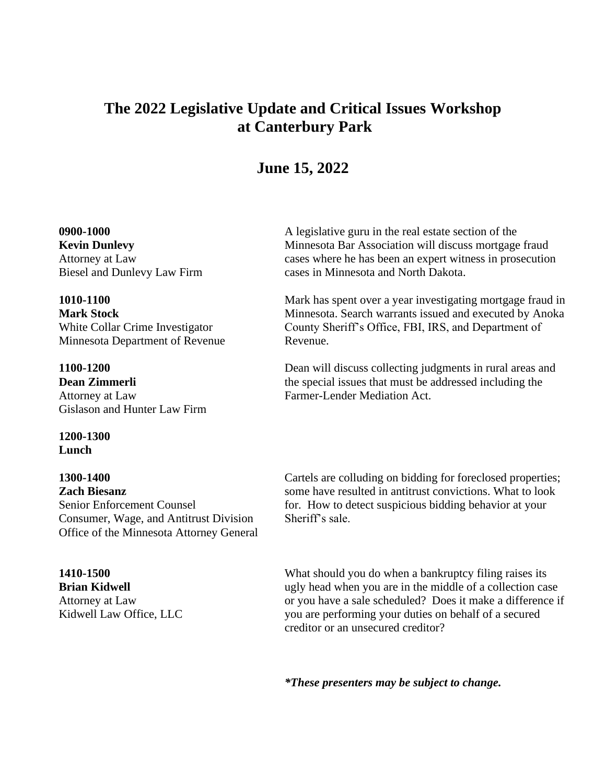# **The 2022 Legislative Update and Critical Issues Workshop at Canterbury Park**

## **June 15, 2022**

#### **0900-1000**

**Kevin Dunlevy** Attorney at Law Biesel and Dunlevy Law Firm

### **1010-1100**

**Mark Stock** White Collar Crime Investigator Minnesota Department of Revenue

#### **1100-1200 Dean Zimmerli** Attorney at Law Gislason and Hunter Law Firm

#### **1200-1300 Lunch**

**1300-1400 Zach Biesanz** Senior Enforcement Counsel Consumer, Wage, and Antitrust Division Office of the Minnesota Attorney General

#### **1410-1500**

**Brian Kidwell** Attorney at Law Kidwell Law Office, LLC A legislative guru in the real estate section of the Minnesota Bar Association will discuss mortgage fraud cases where he has been an expert witness in prosecution cases in Minnesota and North Dakota.

Mark has spent over a year investigating mortgage fraud in Minnesota. Search warrants issued and executed by Anoka County Sheriff's Office, FBI, IRS, and Department of Revenue.

Dean will discuss collecting judgments in rural areas and the special issues that must be addressed including the Farmer-Lender Mediation Act.

Cartels are colluding on bidding for foreclosed properties; some have resulted in antitrust convictions. What to look for. How to detect suspicious bidding behavior at your Sheriff's sale.

What should you do when a bankruptcy filing raises its ugly head when you are in the middle of a collection case or you have a sale scheduled? Does it make a difference if you are performing your duties on behalf of a secured creditor or an unsecured creditor?

*\*These presenters may be subject to change.*